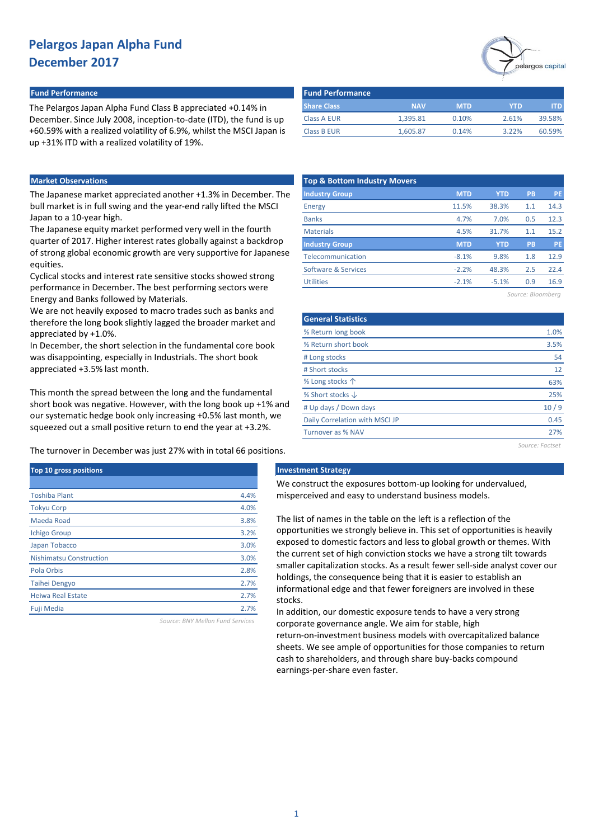#### **Fund Performance Fund Performance**

The Pelargos Japan Alpha Fund Class B appreciated +0.14% in December. Since July 2008, inception-to-date (ITD), the fund is up +60.59% with a realized volatility of 6.9%, whilst the MSCI Japan is up +31% ITD with a realized volatility of 19%.

### **Market Observations**

The Japanese market appreciated another +1.3% in December. The bull market is in full swing and the year-end rally lifted the MSCI Japan to a 10-year high.

The Japanese equity market performed very well in the fourth quarter of 2017. Higher interest rates globally against a backdrop of strong global economic growth are very supportive for Japanese equities.

Cyclical stocks and interest rate sensitive stocks showed strong performance in December. The best performing sectors were Energy and Banks followed by Materials.

We are not heavily exposed to macro trades such as banks and therefore the long book slightly lagged the broader market and appreciated by +1.0%.

In December, the short selection in the fundamental core book was disappointing, especially in Industrials. The short book appreciated +3.5% last month.

This month the spread between the long and the fundamental short book was negative. However, with the long book up +1% and our systematic hedge book only increasing +0.5% last month, we squeezed out a small positive return to end the year at +3.2%.

The turnover in December was just 27% with in total 66 positions.

| Top 10 gross positions         |      |
|--------------------------------|------|
|                                |      |
| <b>Toshiba Plant</b>           | 4.4% |
| <b>Tokyu Corp</b>              | 4.0% |
| Maeda Road                     | 3.8% |
| <b>Ichigo Group</b>            | 3.2% |
| Japan Tobacco                  | 3.0% |
| <b>Nishimatsu Construction</b> | 3.0% |
| Pola Orbis                     | 2.8% |
| <b>Taihei Dengyo</b>           | 2.7% |
| Heiwa Real Estate              | 2.7% |
| <b>Fuji Media</b>              | 2.7% |

*Source: BNY Mellon Fund Services*



| <b>Fund Performance</b> |            |            |            |        |
|-------------------------|------------|------------|------------|--------|
| <b>Share Class</b>      | <b>NAV</b> | <b>MTD</b> | <b>YTD</b> | ITD.   |
| <b>Class A EUR</b>      | 1.395.81   | 0.10%      | 2.61%      | 39.58% |
| <b>Class B EUR</b>      | 1.605.87   | 0.14%      | 3.22%      | 60.59% |

| <b>Top &amp; Bottom Industry Movers</b> |            |            |     |           |
|-----------------------------------------|------------|------------|-----|-----------|
| <b>Industry Group</b>                   | <b>MTD</b> | <b>YTD</b> | PB  | <b>PE</b> |
| Energy                                  | 11.5%      | 38.3%      | 1.1 | 14.3      |
| <b>Banks</b>                            | 4.7%       | 7.0%       | 0.5 | 12.3      |
| <b>Materials</b>                        | 4.5%       | 31.7%      | 1.1 | 15.2      |
| <b>Industry Group</b>                   | <b>MTD</b> | <b>YTD</b> | PB  | <b>PE</b> |
| Telecommunication                       | $-8.1%$    | 9.8%       | 1.8 | 12.9      |
| Software & Services                     | $-2.2%$    | 48.3%      | 2.5 | 22.4      |
| <b>Utilities</b>                        | $-2.1%$    | $-5.1%$    | 0.9 | 16.9      |
|                                         |            |            |     |           |

*Source: Bloomberg*

| <b>General Statistics</b>      |      |
|--------------------------------|------|
| % Return long book             | 1.0% |
| % Return short book            | 3.5% |
| # Long stocks                  | 54   |
| # Short stocks                 | 12   |
| % Long stocks 个                | 63%  |
| % Short stocks $\downarrow$    | 25%  |
| # Up days / Down days          | 10/9 |
| Daily Correlation with MSCI JP | 0.45 |
| Turnover as % NAV              | 77%  |
|                                |      |

*Source: Factset*

#### **Top 10 gross positions Investment Strategy**

We construct the exposures bottom-up looking for undervalued, misperceived and easy to understand business models.

The list of names in the table on the left is a reflection of the opportunities we strongly believe in. This set of opportunities is heavily exposed to domestic factors and less to global growth or themes. With the current set of high conviction stocks we have a strong tilt towards smaller capitalization stocks. As a result fewer sell-side analyst cover our holdings, the consequence being that it is easier to establish an informational edge and that fewer foreigners are involved in these stocks.

In addition, our domestic exposure tends to have a very strong corporate governance angle. We aim for stable, high return-on-investment business models with overcapitalized balance sheets. We see ample of opportunities for those companies to return cash to shareholders, and through share buy-backs compound earnings-per-share even faster.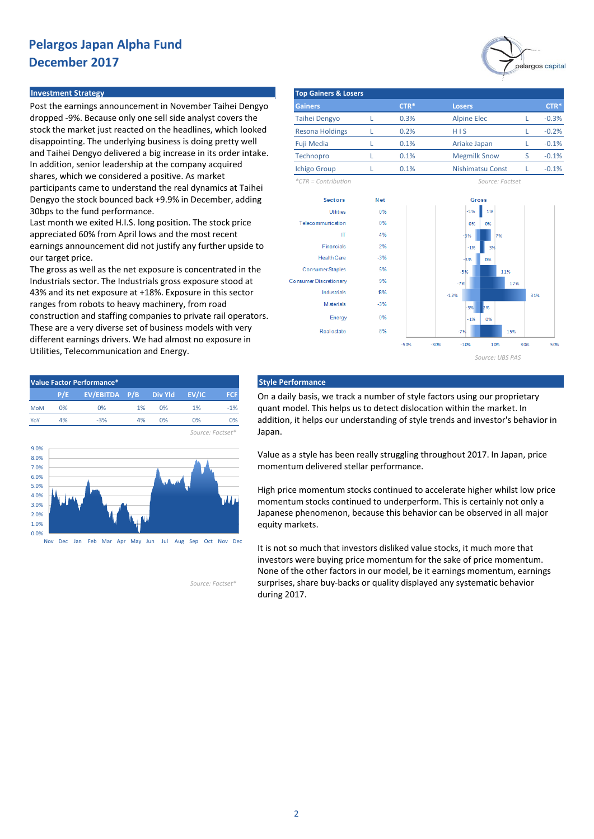#### **Investment Strategy**

Post the earnings announcement in November Taihei Dengyo dropped -9%. Because only one sell side analyst covers the stock the market just reacted on the headlines, which looked disappointing. The underlying business is doing pretty well and Taihei Dengyo delivered a big increase in its order intake. In addition, senior leadership at the company acquired shares, which we considered a positive. As market participants came to understand the real dynamics at Taihei Dengyo the stock bounced back +9.9% in December, adding 30bps to the fund performance.

Last month we exited H.I.S. long position. The stock price appreciated 60% from April lows and the most recent earnings announcement did not justify any further upside to our target price.

The gross as well as the net exposure is concentrated in the Industrials sector. The Industrials gross exposure stood at 43% and its net exposure at +18%. Exposure in this sector ranges from robots to heavy machinery, from road construction and staffing companies to private rail operators. These are a very diverse set of business models with very different earnings drivers. We had almost no exposure in Utilities, Telecommunication and Energy.



Nov Dec Jan Feb Mar Apr May Jun Jul Aug Sep Oct Nov Dec

*Source: Factset\**

| <b>Top Gainers &amp; Losers</b> |  |        |                         |   |         |  |  |  |  |  |
|---------------------------------|--|--------|-------------------------|---|---------|--|--|--|--|--|
| <b>Gainers</b>                  |  | $CTR*$ | <b>Losers</b>           |   | $CTR*$  |  |  |  |  |  |
| <b>Taihei Dengyo</b>            |  | 0.3%   | <b>Alpine Elec</b>      |   | $-0.3%$ |  |  |  |  |  |
| <b>Resona Holdings</b>          |  | 0.2%   | HIS                     |   | $-0.2%$ |  |  |  |  |  |
| <b>Fuji Media</b>               |  | 0.1%   | Ariake Japan            |   | $-0.1%$ |  |  |  |  |  |
| Technopro                       |  | 0.1%   | <b>Megmilk Snow</b>     | S | $-0.1%$ |  |  |  |  |  |
| <b>Ichigo Group</b>             |  | 0.1%   | <b>Nishimatsu Const</b> |   | $-0.1%$ |  |  |  |  |  |
| $*CTR =$ Contribution           |  |        | Source: Factset         |   |         |  |  |  |  |  |

Gross



On a daily basis, we track a number of style factors using our proprietary quant model. This helps us to detect dislocation within the market. In addition, it helps our understanding of style trends and investor's behavior in Japan.

Value as a style has been really struggling throughout 2017. In Japan, price momentum delivered stellar performance.

High price momentum stocks continued to accelerate higher whilst low price momentum stocks continued to underperform. This is certainly not only a Japanese phenomenon, because this behavior can be observed in all major equity markets.

It is not so much that investors disliked value stocks, it much more that investors were buying price momentum for the sake of price momentum. None of the other factors in our model, be it earnings momentum, earnings surprises, share buy-backs or quality displayed any systematic behavior during 2017.

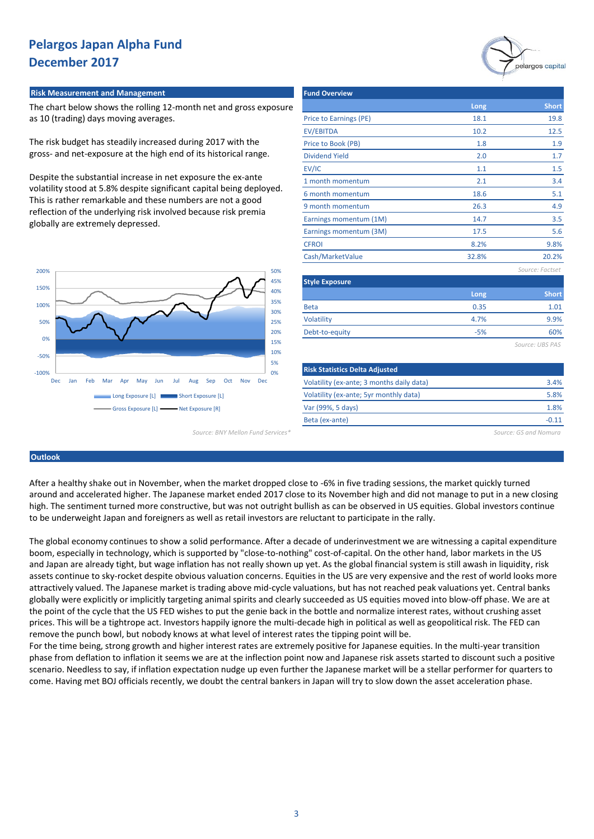#### **Risk Measurement and Management**

The chart below shows the rolling 12-month net and gross exposure as 10 (trading) days moving averages.

The risk budget has steadily increased during 2017 with the gross- and net-exposure at the high end of its historical range.

Despite the substantial increase in net exposure the ex-ante volatility stood at 5.8% despite significant capital being deployed. This is rather remarkable and these numbers are not a good reflection of the underlying risk involved because risk premia globally are extremely depressed.



|                                               | <b>Fund Overview</b>                      |              |                       |  |  |  |
|-----------------------------------------------|-------------------------------------------|--------------|-----------------------|--|--|--|
| th net and gross exposure                     |                                           | Long         | <b>Short</b>          |  |  |  |
|                                               | Price to Earnings (PE)                    | 18.1         | 19.8                  |  |  |  |
|                                               | <b>EV/EBITDA</b>                          | 10.2<br>12.5 |                       |  |  |  |
| ing 2017 with the                             | Price to Book (PB)                        | 1.8          | 1.9                   |  |  |  |
| f its historical range.                       | <b>Dividend Yield</b>                     | 2.0          | 1.7 <sub>2</sub>      |  |  |  |
|                                               | EV/IC                                     | 1.1          | 1.5                   |  |  |  |
| osure the ex-ante                             | 1 month momentum                          | 2.1          | 3.4                   |  |  |  |
| capital being deployed.                       | 6 month momentum                          | 18.6         | 5.1                   |  |  |  |
| ers are not a good                            | 9 month momentum                          | 26.3         | 4.9                   |  |  |  |
| ecause risk premia                            | Earnings momentum (1M)                    | 14.7         | 3.5                   |  |  |  |
|                                               | Earnings momentum (3M)                    | 17.5         | 5.6                   |  |  |  |
|                                               | <b>CFROI</b>                              | 8.2%         | 9.8%                  |  |  |  |
|                                               | Cash/MarketValue                          | 32.8%        | 20.2%                 |  |  |  |
| 50%                                           |                                           |              | Source: Factset       |  |  |  |
| 45%                                           | <b>Style Exposure</b>                     |              |                       |  |  |  |
| 40%                                           |                                           | Long         | <b>Short</b>          |  |  |  |
| 35%<br>30%                                    | <b>Beta</b>                               | 0.35         | 1.01                  |  |  |  |
| 25%                                           | Volatility                                | 4.7%         | 9.9%                  |  |  |  |
| 20%                                           | Debt-to-equity                            | $-5%$        | 60%                   |  |  |  |
| 15%                                           |                                           |              | Source: UBS PAS       |  |  |  |
| 10%                                           |                                           |              |                       |  |  |  |
| 5%<br>0%                                      | <b>Risk Statistics Delta Adjusted</b>     |              |                       |  |  |  |
| Sep<br>Oct<br><b>Lug</b><br><b>Nov</b><br>Dec | Volatility (ex-ante; 3 months daily data) | 3.4%         |                       |  |  |  |
| <b>Exposure [L]</b>                           | Volatility (ex-ante; 5yr monthly data)    |              |                       |  |  |  |
| xposure [R]                                   | Var (99%, 5 days)                         |              | 1.8%                  |  |  |  |
|                                               | Beta (ex-ante)                            |              | $-0.11$               |  |  |  |
| Source: BNY Mellon Fund Services*             |                                           |              | Source: GS and Nomura |  |  |  |

pelargos capital

#### **Outlook**

After a healthy shake out in November, when the market dropped close to -6% in five trading sessions, the market quickly turned around and accelerated higher. The Japanese market ended 2017 close to its November high and did not manage to put in a new closing high. The sentiment turned more constructive, but was not outright bullish as can be observed in US equities. Global investors continue to be underweight Japan and foreigners as well as retail investors are reluctant to participate in the rally.

The global economy continues to show a solid performance. After a decade of underinvestment we are witnessing a capital expenditure boom, especially in technology, which is supported by "close-to-nothing" cost-of-capital. On the other hand, labor markets in the US and Japan are already tight, but wage inflation has not really shown up yet. As the global financial system is still awash in liquidity, risk assets continue to sky-rocket despite obvious valuation concerns. Equities in the US are very expensive and the rest of world looks more attractively valued. The Japanese market is trading above mid-cycle valuations, but has not reached peak valuations yet. Central banks globally were explicitly or implicitly targeting animal spirits and clearly succeeded as US equities moved into blow-off phase. We are at the point of the cycle that the US FED wishes to put the genie back in the bottle and normalize interest rates, without crushing asset prices. This will be a tightrope act. Investors happily ignore the multi-decade high in political as well as geopolitical risk. The FED can remove the punch bowl, but nobody knows at what level of interest rates the tipping point will be.

For the time being, strong growth and higher interest rates are extremely positive for Japanese equities. In the multi-year transition phase from deflation to inflation it seems we are at the inflection point now and Japanese risk assets started to discount such a positive scenario. Needless to say, if inflation expectation nudge up even further the Japanese market will be a stellar performer for quarters to come. Having met BOJ officials recently, we doubt the central bankers in Japan will try to slow down the asset acceleration phase.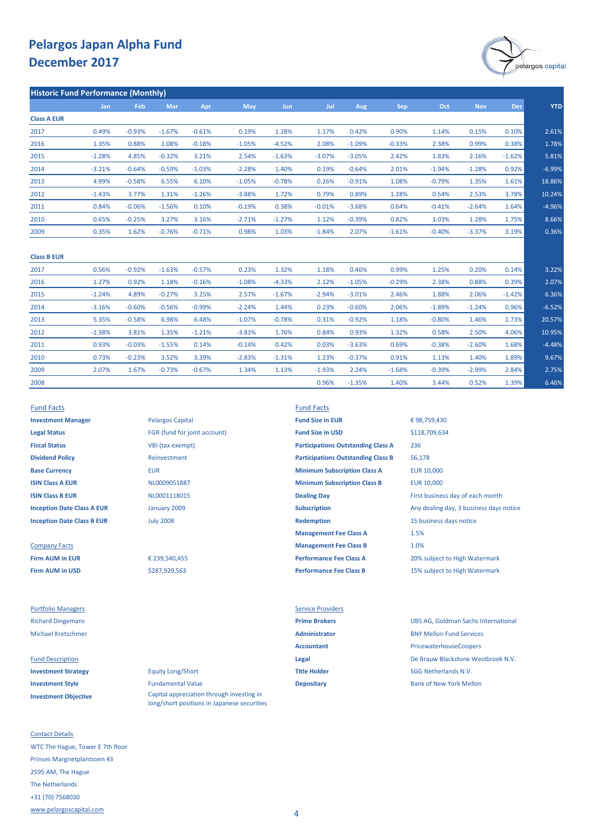

|                    | Jan      | Feb      | Mar      | Apr      | May      | <b>Jun</b> | Jul      | Aug      | Sep      | Oct      | <b>Nov</b> | <b>Dec</b> | <b>YTD</b> |
|--------------------|----------|----------|----------|----------|----------|------------|----------|----------|----------|----------|------------|------------|------------|
| <b>Class A EUR</b> |          |          |          |          |          |            |          |          |          |          |            |            |            |
| 2017               | 0.49%    | $-0.93%$ | $-1.67%$ | $-0.61%$ | 0.19%    | 1.28%      | 1.17%    | 0.42%    | 0.90%    | 1.14%    | 0.15%      | 0.10%      | 2.61%      |
| 2016               | 1.35%    | 0.88%    | 1.08%    | $-0.18%$ | $-1.05%$ | $-4.52%$   | 2.08%    | $-1.09%$ | $-0.33%$ | 2.38%    | 0.99%      | 0.38%      | 1.78%      |
| 2015               | $-1.28%$ | 4.85%    | $-0.32%$ | 3.21%    | 2.54%    | $-1.63%$   | $-3.07%$ | $-3.05%$ | 2.42%    | 1.83%    | 2.16%      | $-1.62%$   | 5.81%      |
| 2014               | $-3.21%$ | $-0.64%$ | $-0.59%$ | $-1.03%$ | $-2.28%$ | 1.40%      | 0.19%    | $-0.64%$ | 2.01%    | $-1.94%$ | $-1.28%$   | 0.92%      | $-6.99%$   |
| 2013               | 4.99%    | $-0.58%$ | 6.55%    | 6.10%    | $-1.05%$ | $-0.78%$   | 0.26%    | $-0.91%$ | 1.08%    | $-0.79%$ | 1.35%      | 1.61%      | 18.86%     |
| 2012               | $-1.43%$ | 3.77%    | 1.31%    | $-1.26%$ | $-3.88%$ | 1.72%      | 0.79%    | 0.89%    | 1.28%    | 0.54%    | 2.53%      | 3.78%      | 10.24%     |
| 2011               | 0.84%    | $-0.06%$ | $-1.56%$ | 0.10%    | $-0.19%$ | 0.38%      | $-0.01%$ | $-3.68%$ | 0.64%    | $-0.41%$ | $-2.64%$   | 1.64%      | $-4.96%$   |
| 2010               | 0.65%    | $-0.25%$ | 3.27%    | 3.16%    | $-2.71%$ | $-1.27%$   | 1.12%    | $-0.39%$ | 0.82%    | 1.03%    | 1.28%      | 1.75%      | 8.66%      |
| 2009               | 0.35%    | 1.62%    | $-0.76%$ | $-0.71%$ | 0.98%    | 1.03%      | $-1.84%$ | 2.07%    | $-1.61%$ | $-0.40%$ | $-3.37%$   | 3.19%      | 0.36%      |

| <b>Class B EUR</b> |          |          |          |          |          |          |          |          |          |          |          |          |          |
|--------------------|----------|----------|----------|----------|----------|----------|----------|----------|----------|----------|----------|----------|----------|
| 2017               | 0.56%    | $-0.92%$ | $-1.63%$ | $-0.57%$ | 0.23%    | 1.32%    | 1.18%    | 0.46%    | 0.99%    | 1.25%    | 0.20%    | 0.14%    | 3.22%    |
| 2016               | 1.27%    | 0.92%    | 1.18%    | $-0.16%$ | $-1.08%$ | $-4.33%$ | 2.12%    | $-1.05%$ | $-0.29%$ | 2.38%    | 0.88%    | 0.39%    | 2.07%    |
| 2015               | $-1.24%$ | 4.89%    | $-0.27%$ | 3.25%    | 2.57%    | $-1.67%$ | $-2.94%$ | $-3.01%$ | 2.46%    | 1.88%    | 2.06%    | $-1.42%$ | 6.36%    |
| 2014               | $-3.16%$ | $-0.60%$ | $-0.56%$ | $-0.99%$ | $-2.24%$ | 1.44%    | 0.23%    | $-0.60%$ | 2.06%    | $-1.89%$ | $-1.24%$ | 0.96%    | $-6.52%$ |
| 2013               | 5.35%    | $-0.58%$ | 6.98%    | 6.48%    | $-1.07%$ | $-0.78%$ | 0.31%    | $-0.92%$ | 1.18%    | $-0.80%$ | 1.46%    | 1.73%    | 20.57%   |
| 2012               | $-1.38%$ | 3.81%    | 1.35%    | $-1.21%$ | $-3.83%$ | 1.76%    | 0.84%    | 0.93%    | 1.32%    | 0.58%    | 2.50%    | 4.06%    | 10.95%   |
| 2011               | 0.93%    | $-0.03%$ | $-1.55%$ | 0.14%    | $-0.14%$ | 0.42%    | 0.03%    | $-3.63%$ | 0.69%    | $-0.38%$ | $-2.60%$ | 1.68%    | $-4.48%$ |
| 2010               | 0.73%    | $-0.23%$ | 3.52%    | 3.39%    | $-2.83%$ | $-1.31%$ | 1.23%    | $-0.37%$ | 0.91%    | 1.13%    | 1.40%    | 1.89%    | 9.67%    |
| 2009               | 2.07%    | 1.67%    | $-0.73%$ | $-0.67%$ | 1.34%    | 1.13%    | $-1.93%$ | 2.24%    | $-1.68%$ | $-0.39%$ | $-2.99%$ | 2.84%    | 2.75%    |
| 2008               |          |          |          |          |          |          | 0.96%    | $-1.35%$ | 1.40%    | 3.44%    | 0.52%    | 1.39%    | 6.46%    |

**Legal Status** FGR (fund for joint account) **Fund Size in USD Fiscal Status** VBI (tax exempt) **Dividend Policy** Reinvestment

**Firm AUM in USD Performance Fee Class B** 15% subject to High Watermark

**Investment Objective**

Contact Details WTC The Hague, Tower E 7th floor Prinses Margrietplantsoen 43 2595 AM, The Hague The Netherlands +31 (70) 7568030 [www.pelargoscapital.com](http://www.pelargoscapital.com/)

**Investment Manager Pelargos Capital <b>Fund Size in EUR** January 2009 July 2008

> \$287,929,563 € 239,540,455

**Investment Strategy Equity Long/Short Title Holder Title Holder** SGG Netherlands N.V. **Investment Style Depositary Depositary** Bank of New York Mellon Bank of New York Mellon Capital appreciation through investing in long/short positions in Japanese securities

Fund Facts Fund Facts

**Base Currency <b>EUR** EUR **EUR EUR Minimum Subscription Class A** EUR 10,000 **ISIN Class A EUR EUR EUR 10,000 MINIMUM MINIMUM MINIMUM MINIMUM Class B EUR** 10,000 **ISIN Class B EUR ISIN Class B EUR CLASS ARE ISIN CLASS CONTAINED A CONTAINING DAY Dealing Day First business day of each month Inception Date Class A EUR Subscription Subscription** Any dealing day, 3 business days notice **Inception Date Class B EUR In the Class B EUR Inception** 15 business days notice **Management Fee Class A** Company Facts **Management Fee Class B Firm AUM in EUR Performance Fee Class A** 20% subject to High Watermark **Participations Outstanding Class B Participations Outstanding Class A**

# 1.0% € 98,759,430 236 56,178 1.5% \$118,709,634

Portfolio Managers **Service Providers** Service Providers

Richard Dingemans **Prime Brokers** UBS AG, Goldman Sachs International Michael Kretschmer **Administrator** BNY Mellon Fund Services Accountant **Accountant** PricewaterhouseCoopers Fund Description **Legal** De Brauw Blackstone Westbroek N.V.